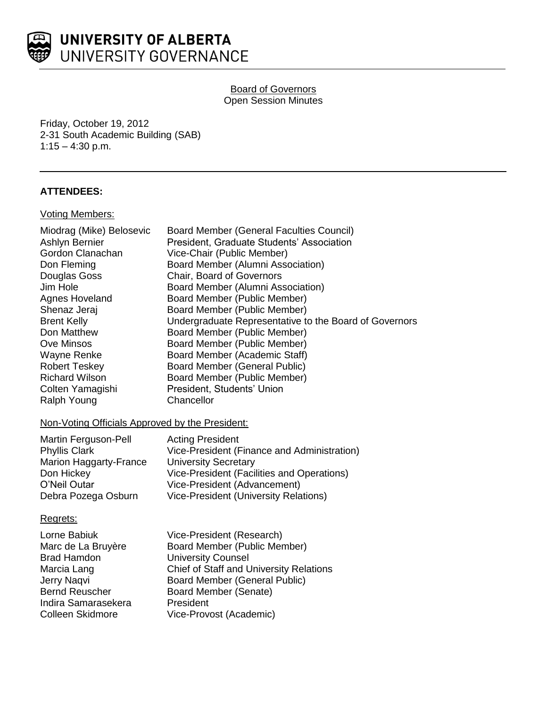

**Board of Governors** Open Session Minutes

Friday, October 19, 2012 2-31 South Academic Building (SAB) 1:15 – 4:30 p.m.

# **ATTENDEES:**

### Voting Members:

| Miodrag (Mike) Belosevic | Board Member (General Faculties Council)               |
|--------------------------|--------------------------------------------------------|
| Ashlyn Bernier           | President, Graduate Students' Association              |
| Gordon Clanachan         | Vice-Chair (Public Member)                             |
| Don Fleming              | Board Member (Alumni Association)                      |
| Douglas Goss             | Chair, Board of Governors                              |
| Jim Hole                 | Board Member (Alumni Association)                      |
| Agnes Hoveland           | Board Member (Public Member)                           |
| Shenaz Jeraj             | Board Member (Public Member)                           |
| <b>Brent Kelly</b>       | Undergraduate Representative to the Board of Governors |
| Don Matthew              | Board Member (Public Member)                           |
| Ove Minsos               | Board Member (Public Member)                           |
| <b>Wayne Renke</b>       | Board Member (Academic Staff)                          |
| <b>Robert Teskey</b>     | <b>Board Member (General Public)</b>                   |
| <b>Richard Wilson</b>    | Board Member (Public Member)                           |
| Colten Yamagishi         | President, Students' Union                             |
| Ralph Young              | Chancellor                                             |
|                          |                                                        |

# Non-Voting Officials Approved by the President:

| Martin Ferguson-Pell   | <b>Acting President</b>                     |
|------------------------|---------------------------------------------|
| <b>Phyllis Clark</b>   | Vice-President (Finance and Administration) |
| Marion Haggarty-France | <b>University Secretary</b>                 |
| Don Hickey             | Vice-President (Facilities and Operations)  |
| O'Neil Outar           | Vice-President (Advancement)                |
| Debra Pozega Osburn    | Vice-President (University Relations)       |

# Regrets:

| Vice-President (Research)                      |
|------------------------------------------------|
| Board Member (Public Member)                   |
| <b>University Counsel</b>                      |
| <b>Chief of Staff and University Relations</b> |
| <b>Board Member (General Public)</b>           |
| Board Member (Senate)                          |
| President                                      |
| Vice-Provost (Academic)                        |
|                                                |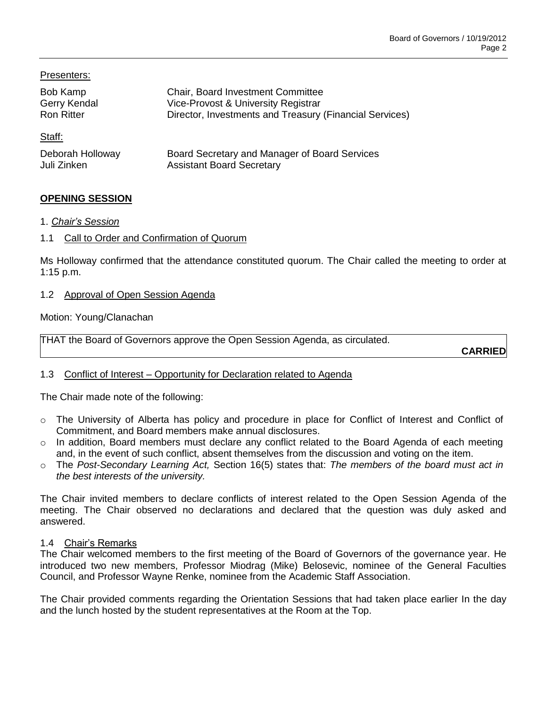Presenters:

| Bob Kamp          | <b>Chair, Board Investment Committee</b>                |
|-------------------|---------------------------------------------------------|
| Gerry Kendal      | Vice-Provost & University Registrar                     |
| <b>Ron Ritter</b> | Director, Investments and Treasury (Financial Services) |
| Staff:            |                                                         |
| Deborah Holloway  | Board Secretary and Manager of Board Services           |
| Juli Zinken       | <b>Assistant Board Secretary</b>                        |

# **OPENING SESSION**

- 1. *Chair's Session*
- 1.1 Call to Order and Confirmation of Quorum

Ms Holloway confirmed that the attendance constituted quorum. The Chair called the meeting to order at 1:15 p.m.

### 1.2 Approval of Open Session Agenda

### Motion: Young/Clanachan

THAT the Board of Governors approve the Open Session Agenda, as circulated.

**CARRIED**

# 1.3 Conflict of Interest – Opportunity for Declaration related to Agenda

The Chair made note of the following:

- o The University of Alberta has policy and procedure in place for Conflict of Interest and Conflict of Commitment, and Board members make annual disclosures.
- o In addition, Board members must declare any conflict related to the Board Agenda of each meeting and, in the event of such conflict, absent themselves from the discussion and voting on the item.
- o The *Post-Secondary Learning Act,* Section 16(5) states that: *The members of the board must act in the best interests of the university.*

The Chair invited members to declare conflicts of interest related to the Open Session Agenda of the meeting. The Chair observed no declarations and declared that the question was duly asked and answered.

### 1.4 Chair's Remarks

The Chair welcomed members to the first meeting of the Board of Governors of the governance year. He introduced two new members, Professor Miodrag (Mike) Belosevic, nominee of the General Faculties Council, and Professor Wayne Renke, nominee from the Academic Staff Association.

The Chair provided comments regarding the Orientation Sessions that had taken place earlier In the day and the lunch hosted by the student representatives at the Room at the Top.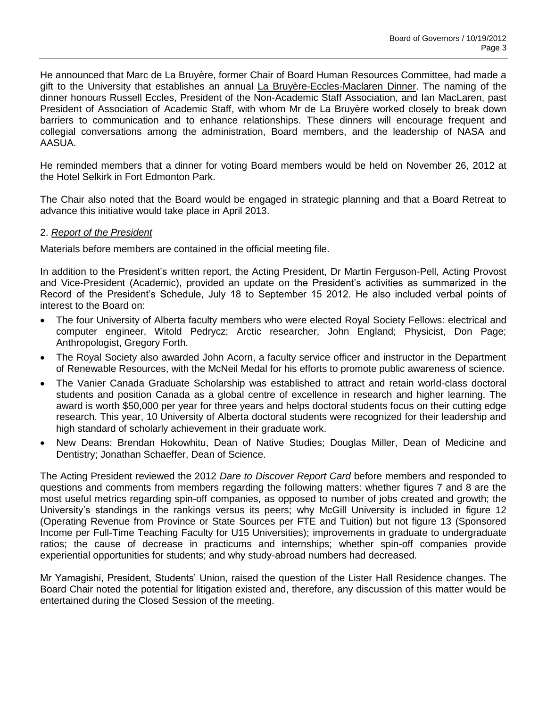He announced that Marc de La Bruyère, former Chair of Board Human Resources Committee, had made a gift to the University that establishes an annual La Bruyère-Eccles-Maclaren Dinner. The naming of the dinner honours Russell Eccles, President of the Non-Academic Staff Association, and Ian MacLaren, past President of Association of Academic Staff, with whom Mr de La Bruyère worked closely to break down barriers to communication and to enhance relationships. These dinners will encourage frequent and collegial conversations among the administration, Board members, and the leadership of NASA and AASUA.

He reminded members that a dinner for voting Board members would be held on November 26, 2012 at the Hotel Selkirk in Fort Edmonton Park.

The Chair also noted that the Board would be engaged in strategic planning and that a Board Retreat to advance this initiative would take place in April 2013.

### 2. *Report of the President*

Materials before members are contained in the official meeting file.

In addition to the President's written report, the Acting President, Dr Martin Ferguson-Pell, Acting Provost and Vice-President (Academic), provided an update on the President's activities as summarized in the Record of the President's Schedule, July 18 to September 15 2012. He also included verbal points of interest to the Board on:

- The four University of Alberta faculty members who were elected Royal Society Fellows: electrical and computer engineer, Witold Pedrycz; Arctic researcher, John England; Physicist, Don Page; Anthropologist, Gregory Forth.
- The Royal Society also awarded John Acorn, a faculty service officer and instructor in the Department of Renewable Resources, with the McNeil Medal for his efforts to promote public awareness of science.
- The Vanier Canada Graduate Scholarship was established to attract and retain world-class doctoral students and position Canada as a global centre of excellence in research and higher learning. The award is worth \$50,000 per year for three years and helps doctoral students focus on their cutting edge research. This year, 10 University of Alberta doctoral students were recognized for their leadership and high standard of scholarly achievement in their graduate work.
- New Deans: Brendan Hokowhitu, Dean of Native Studies; Douglas Miller, Dean of Medicine and Dentistry; Jonathan Schaeffer, Dean of Science.

The Acting President reviewed the 2012 *Dare to Discover Report Card* before members and responded to questions and comments from members regarding the following matters: whether figures 7 and 8 are the most useful metrics regarding spin-off companies, as opposed to number of jobs created and growth; the University's standings in the rankings versus its peers; why McGill University is included in figure 12 (Operating Revenue from Province or State Sources per FTE and Tuition) but not figure 13 (Sponsored Income per Full-Time Teaching Faculty for U15 Universities); improvements in graduate to undergraduate ratios; the cause of decrease in practicums and internships; whether spin-off companies provide experiential opportunities for students; and why study-abroad numbers had decreased.

Mr Yamagishi, President, Students' Union, raised the question of the Lister Hall Residence changes. The Board Chair noted the potential for litigation existed and, therefore, any discussion of this matter would be entertained during the Closed Session of the meeting.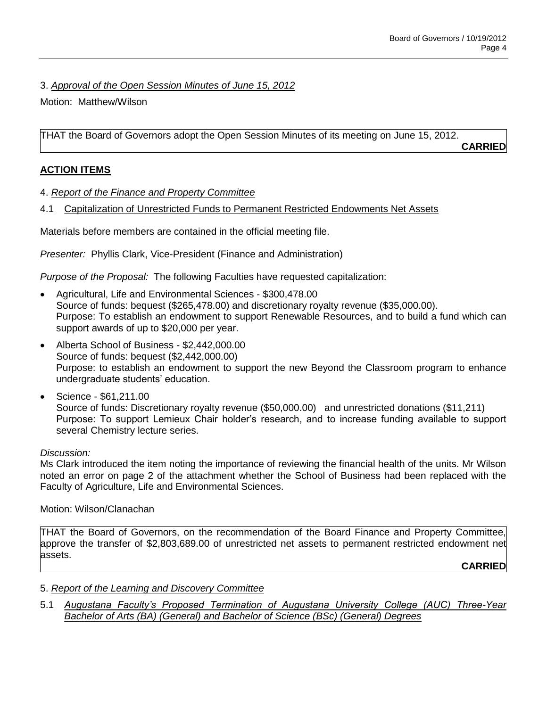# 3. *Approval of the Open Session Minutes of June 15, 2012*

Motion: Matthew/Wilson

THAT the Board of Governors adopt the Open Session Minutes of its meeting on June 15, 2012.

**CARRIED**

# **ACTION ITEMS**

- 4. *Report of the Finance and Property Committee*
- 4.1 Capitalization of Unrestricted Funds to Permanent Restricted Endowments Net Assets

Materials before members are contained in the official meeting file.

*Presenter:* Phyllis Clark, Vice-President (Finance and Administration)

*Purpose of the Proposal:* The following Faculties have requested capitalization:

- Agricultural, Life and Environmental Sciences \$300,478.00 Source of funds: bequest (\$265,478.00) and discretionary royalty revenue (\$35,000.00). Purpose: To establish an endowment to support Renewable Resources, and to build a fund which can support awards of up to \$20,000 per year.
- Alberta School of Business \$2,442,000.00 Source of funds: bequest (\$2,442,000.00) Purpose: to establish an endowment to support the new Beyond the Classroom program to enhance undergraduate students' education.
- Science \$61,211.00 Source of funds: Discretionary royalty revenue (\$50,000.00) and unrestricted donations (\$11,211) Purpose: To support Lemieux Chair holder's research, and to increase funding available to support several Chemistry lecture series.

# *Discussion:*

Ms Clark introduced the item noting the importance of reviewing the financial health of the units. Mr Wilson noted an error on page 2 of the attachment whether the School of Business had been replaced with the Faculty of Agriculture, Life and Environmental Sciences.

# Motion: Wilson/Clanachan

THAT the Board of Governors, on the recommendation of the Board Finance and Property Committee, approve the transfer of \$2,803,689.00 of unrestricted net assets to permanent restricted endowment net assets.

**CARRIED**

# 5. *Report of the Learning and Discovery Committee*

5.1 *Augustana Faculty's Proposed Termination of Augustana University College (AUC) Three-Year Bachelor of Arts (BA) (General) and Bachelor of Science (BSc) (General) Degrees*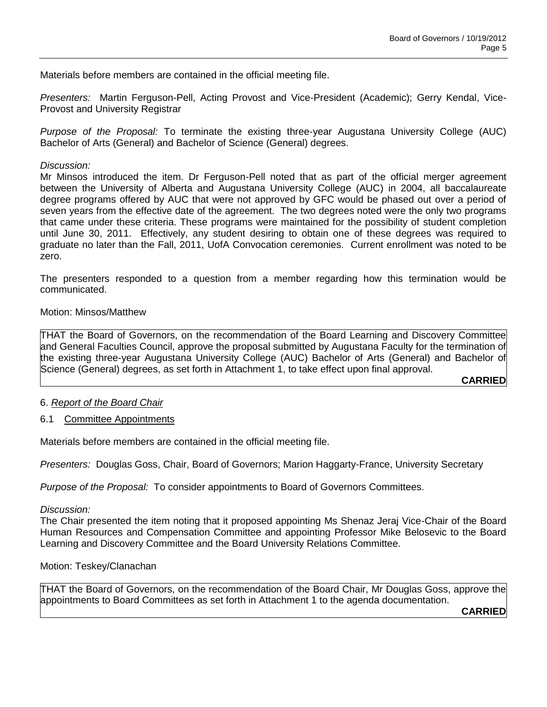Materials before members are contained in the official meeting file.

*Presenters:* Martin Ferguson-Pell, Acting Provost and Vice-President (Academic); Gerry Kendal, Vice-Provost and University Registrar

*Purpose of the Proposal:* To terminate the existing three-year Augustana University College (AUC) Bachelor of Arts (General) and Bachelor of Science (General) degrees.

### *Discussion:*

Mr Minsos introduced the item. Dr Ferguson-Pell noted that as part of the official merger agreement between the University of Alberta and Augustana University College (AUC) in 2004, all baccalaureate degree programs offered by AUC that were not approved by GFC would be phased out over a period of seven years from the effective date of the agreement. The two degrees noted were the only two programs that came under these criteria. These programs were maintained for the possibility of student completion until June 30, 2011. Effectively, any student desiring to obtain one of these degrees was required to graduate no later than the Fall, 2011, UofA Convocation ceremonies. Current enrollment was noted to be zero.

The presenters responded to a question from a member regarding how this termination would be communicated.

### Motion: Minsos/Matthew

THAT the Board of Governors, on the recommendation of the Board Learning and Discovery Committee and General Faculties Council, approve the proposal submitted by Augustana Faculty for the termination of the existing three-year Augustana University College (AUC) Bachelor of Arts (General) and Bachelor of Science (General) degrees, as set forth in Attachment 1, to take effect upon final approval.

**CARRIED**

# 6. *Report of the Board Chair*

### 6.1 Committee Appointments

Materials before members are contained in the official meeting file.

*Presenters:* Douglas Goss, Chair, Board of Governors; Marion Haggarty-France, University Secretary

*Purpose of the Proposal:* To consider appointments to Board of Governors Committees.

### *Discussion:*

The Chair presented the item noting that it proposed appointing Ms Shenaz Jeraj Vice-Chair of the Board Human Resources and Compensation Committee and appointing Professor Mike Belosevic to the Board Learning and Discovery Committee and the Board University Relations Committee.

### Motion: Teskey/Clanachan

THAT the Board of Governors, on the recommendation of the Board Chair, Mr Douglas Goss, approve the appointments to Board Committees as set forth in Attachment 1 to the agenda documentation.

**CARRIED**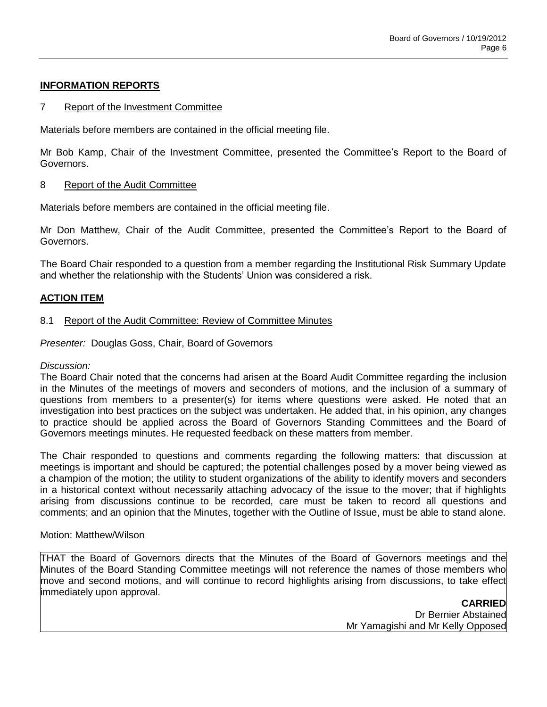# **INFORMATION REPORTS**

### 7 Report of the Investment Committee

Materials before members are contained in the official meeting file.

Mr Bob Kamp, Chair of the Investment Committee, presented the Committee's Report to the Board of Governors.

### 8 Report of the Audit Committee

Materials before members are contained in the official meeting file.

Mr Don Matthew, Chair of the Audit Committee, presented the Committee's Report to the Board of Governors.

The Board Chair responded to a question from a member regarding the Institutional Risk Summary Update and whether the relationship with the Students' Union was considered a risk.

### **ACTION ITEM**

### 8.1 Report of the Audit Committee: Review of Committee Minutes

*Presenter:* Douglas Goss, Chair, Board of Governors

### *Discussion:*

The Board Chair noted that the concerns had arisen at the Board Audit Committee regarding the inclusion in the Minutes of the meetings of movers and seconders of motions, and the inclusion of a summary of questions from members to a presenter(s) for items where questions were asked. He noted that an investigation into best practices on the subject was undertaken. He added that, in his opinion, any changes to practice should be applied across the Board of Governors Standing Committees and the Board of Governors meetings minutes. He requested feedback on these matters from member.

The Chair responded to questions and comments regarding the following matters: that discussion at meetings is important and should be captured; the potential challenges posed by a mover being viewed as a champion of the motion; the utility to student organizations of the ability to identify movers and seconders in a historical context without necessarily attaching advocacy of the issue to the mover; that if highlights arising from discussions continue to be recorded, care must be taken to record all questions and comments; and an opinion that the Minutes, together with the Outline of Issue, must be able to stand alone.

### Motion: Matthew/Wilson

THAT the Board of Governors directs that the Minutes of the Board of Governors meetings and the Minutes of the Board Standing Committee meetings will not reference the names of those members who move and second motions, and will continue to record highlights arising from discussions, to take effect immediately upon approval.

> **CARRIED** Dr Bernier Abstained Mr Yamagishi and Mr Kelly Opposed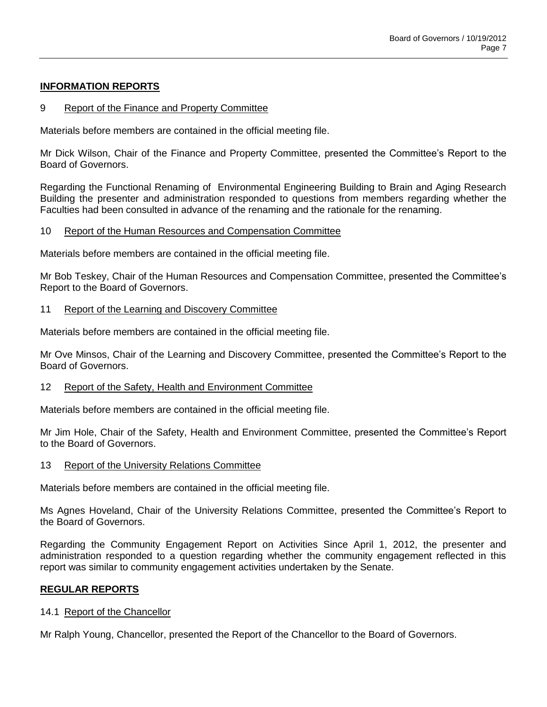### **INFORMATION REPORTS**

### 9 Report of the Finance and Property Committee

Materials before members are contained in the official meeting file.

Mr Dick Wilson, Chair of the Finance and Property Committee, presented the Committee's Report to the Board of Governors.

Regarding the Functional Renaming of Environmental Engineering Building to Brain and Aging Research Building the presenter and administration responded to questions from members regarding whether the Faculties had been consulted in advance of the renaming and the rationale for the renaming.

### 10 Report of the Human Resources and Compensation Committee

Materials before members are contained in the official meeting file.

Mr Bob Teskey, Chair of the Human Resources and Compensation Committee, presented the Committee's Report to the Board of Governors.

#### 11 Report of the Learning and Discovery Committee

Materials before members are contained in the official meeting file.

Mr Ove Minsos, Chair of the Learning and Discovery Committee, presented the Committee's Report to the Board of Governors.

### 12 Report of the Safety, Health and Environment Committee

Materials before members are contained in the official meeting file.

Mr Jim Hole, Chair of the Safety, Health and Environment Committee, presented the Committee's Report to the Board of Governors.

13 Report of the University Relations Committee

Materials before members are contained in the official meeting file.

Ms Agnes Hoveland, Chair of the University Relations Committee, presented the Committee's Report to the Board of Governors.

Regarding the Community Engagement Report on Activities Since April 1, 2012, the presenter and administration responded to a question regarding whether the community engagement reflected in this report was similar to community engagement activities undertaken by the Senate.

### **REGULAR REPORTS**

### 14.1 Report of the Chancellor

Mr Ralph Young, Chancellor, presented the Report of the Chancellor to the Board of Governors.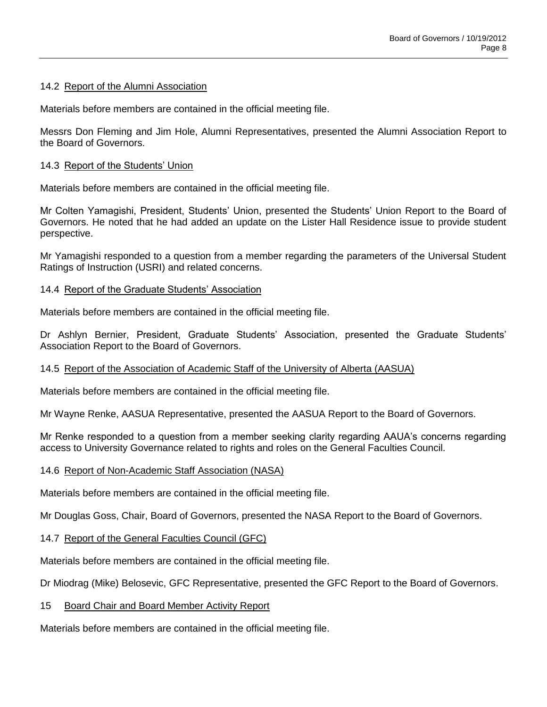### 14.2 Report of the Alumni Association

Materials before members are contained in the official meeting file.

Messrs Don Fleming and Jim Hole, Alumni Representatives, presented the Alumni Association Report to the Board of Governors.

### 14.3 Report of the Students' Union

Materials before members are contained in the official meeting file.

Mr Colten Yamagishi, President, Students' Union, presented the Students' Union Report to the Board of Governors. He noted that he had added an update on the Lister Hall Residence issue to provide student perspective.

Mr Yamagishi responded to a question from a member regarding the parameters of the Universal Student Ratings of Instruction (USRI) and related concerns.

### 14.4 Report of the Graduate Students' Association

Materials before members are contained in the official meeting file.

Dr Ashlyn Bernier, President, Graduate Students' Association, presented the Graduate Students' Association Report to the Board of Governors.

### 14.5 Report of the Association of Academic Staff of the University of Alberta (AASUA)

Materials before members are contained in the official meeting file.

Mr Wayne Renke, AASUA Representative, presented the AASUA Report to the Board of Governors.

Mr Renke responded to a question from a member seeking clarity regarding AAUA's concerns regarding access to University Governance related to rights and roles on the General Faculties Council.

### 14.6 Report of Non-Academic Staff Association (NASA)

Materials before members are contained in the official meeting file.

Mr Douglas Goss, Chair, Board of Governors, presented the NASA Report to the Board of Governors.

### 14.7 Report of the General Faculties Council (GFC)

Materials before members are contained in the official meeting file.

Dr Miodrag (Mike) Belosevic, GFC Representative, presented the GFC Report to the Board of Governors.

### 15 Board Chair and Board Member Activity Report

Materials before members are contained in the official meeting file.